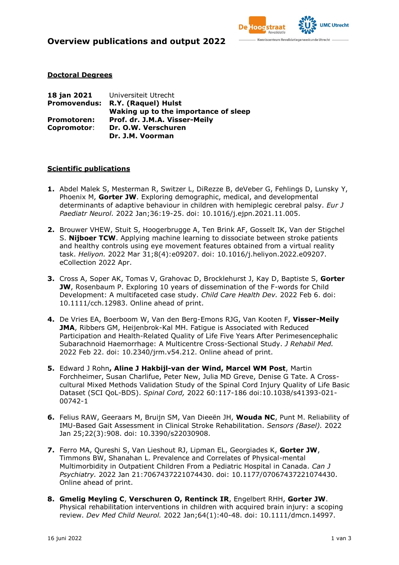

### **Doctoral Degrees**

| 18 jan 2021         | Universiteit Utrecht                 |
|---------------------|--------------------------------------|
| <b>Promovendus:</b> | R.Y. (Raquel) Hulst                  |
|                     | Waking up to the importance of sleep |
| <b>Promotoren:</b>  | Prof. dr. J.M.A. Visser-Meily        |
| Copromotor:         | Dr. O.W. Verschuren                  |
|                     | Dr. J.M. Voorman                     |

### **Scientific publications**

- **1.** [Abdel Malek S, Mesterman R, Switzer L, DiRezze B, deVeber G, Fehlings D, Lunsky Y,](https://pubmed.ncbi.nlm.nih.gov/34823070/)  Phoenix M, **Gorter JW**[. Exploring demographic, medical, and developmental](https://pubmed.ncbi.nlm.nih.gov/34823070/)  [determinants of adaptive behaviour in children with hemiplegic cerebral palsy.](https://pubmed.ncbi.nlm.nih.gov/34823070/) *Eur J Paediatr Neurol.* [2022 Jan;36:19-25. doi: 10.1016/j.ejpn.2021.11.005.](https://pubmed.ncbi.nlm.nih.gov/34823070/)
- **2.** [Brouwer VHEW, Stuit S, Hoogerbrugge A, Ten Brink AF, Gosselt IK, Van der Stigchel](https://pubmed.ncbi.nlm.nih.gov/35399377/)  S. **Nijboer TCW**[. Applying machine learning to dissociate between stroke patients](https://pubmed.ncbi.nlm.nih.gov/35399377/)  [and healthy controls using eye movement features obtained from a virtual reality](https://pubmed.ncbi.nlm.nih.gov/35399377/)  task. *Heliyon.* [2022 Mar 31;8\(4\):e09207. doi: 10.1016/j.heliyon.2022.e09207.](https://pubmed.ncbi.nlm.nih.gov/35399377/)  [eCollection 2022 Apr.](https://pubmed.ncbi.nlm.nih.gov/35399377/)
- **3.** [Cross A, Soper AK, Tomas V, Grahovac D, Brocklehurst J, Kay D, Baptiste S,](https://pubmed.ncbi.nlm.nih.gov/35128716/) **Gorter JW**[, Rosenbaum P. Exploring 10 years of dissemination of the F-words for Child](https://pubmed.ncbi.nlm.nih.gov/35128716/)  [Development: A multifaceted case study.](https://pubmed.ncbi.nlm.nih.gov/35128716/) *Child Care Health Dev.* 2022 Feb 6. doi: 10.1111/cch.12983. Online ahead of print.
- **4.** [De Vries EA, Boerboom W, Van den Berg-Emons RJG, Van Kooten F,](https://pubmed.ncbi.nlm.nih.gov/35191989/) **Visser-Meily JMA**[, Ribbers GM, Heijenbrok-Kal MH. Fatigue is Associated with Reduced](https://pubmed.ncbi.nlm.nih.gov/35191989/)  [Participation and Health-Related Quality of Life Five Years After Perimesencephalic](https://pubmed.ncbi.nlm.nih.gov/35191989/)  [Subarachnoid Haemorrhage: A Multicentre Cross-Sectional Study.](https://pubmed.ncbi.nlm.nih.gov/35191989/) *J Rehabil Med.* 2022 Feb 22. doi: 10.2340/jrm.v54.212. Online ahead of print.
- **5.** Edward J Rohn**[, Aline J Hakbijl-van der Wind, Marcel WM Post](https://pubmed.ncbi.nlm.nih.gov/35079100/)**, Martin [Forchheimer, Susan Charlifue, Peter New, Julia MD Greve, Denise G Tate. A Cross](https://pubmed.ncbi.nlm.nih.gov/35079100/)[cultural Mixed Methods Validation Study of the Spinal Cord Injury Quality of Life Basic](https://pubmed.ncbi.nlm.nih.gov/35079100/)  Dataset (SCI QoL-BDS). *Spinal Cord,* [2022 60:117-186 doi:10.1038/s41393-021-](https://pubmed.ncbi.nlm.nih.gov/35079100/) [00742-1](https://pubmed.ncbi.nlm.nih.gov/35079100/)
- **6.** [Felius RAW, Geeraars M, Bruijn SM, Van Dieeën JH,](https://pubmed.ncbi.nlm.nih.gov/35161654/) **Wouda NC**, Punt M. Reliability of [IMU-Based Gait Assessment in Clinical Stroke Rehabilitation.](https://pubmed.ncbi.nlm.nih.gov/35161654/) *Sensors (Basel).* 2022 [Jan 25;22\(3\):908. doi: 10.3390/s22030908.](https://pubmed.ncbi.nlm.nih.gov/35161654/)
- **7.** [Ferro MA, Qureshi S, Van Lieshout RJ, Lipman EL, Georgiades K,](https://pubmed.ncbi.nlm.nih.gov/35060408/) **Gorter JW**, [Timmons BW, Shanahan L. Prevalence and Correlates of Physical-mental](https://pubmed.ncbi.nlm.nih.gov/35060408/)  [Multimorbidity in Outpatient Children From a Pediatric Hospital in Canada.](https://pubmed.ncbi.nlm.nih.gov/35060408/) *Can J [Psychiatry.](https://pubmed.ncbi.nlm.nih.gov/35060408/)* 2022 Jan 21:7067437221074430. doi: 10.1177/07067437221074430. Online ahead of print.
- **8. Gmelig Meyling C**, **[Verschuren O, Rentinck IR](https://pubmed.ncbi.nlm.nih.gov/34309829/)**, Engelbert RHH, **Gorter JW**. [Physical rehabilitation interventions in children with acquired brain injury: a scoping](https://pubmed.ncbi.nlm.nih.gov/34309829/)  review. *Dev Med Child Neurol.* [2022 Jan;64\(1\):40-48. doi: 10.1111/dmcn.14997.](https://pubmed.ncbi.nlm.nih.gov/34309829/)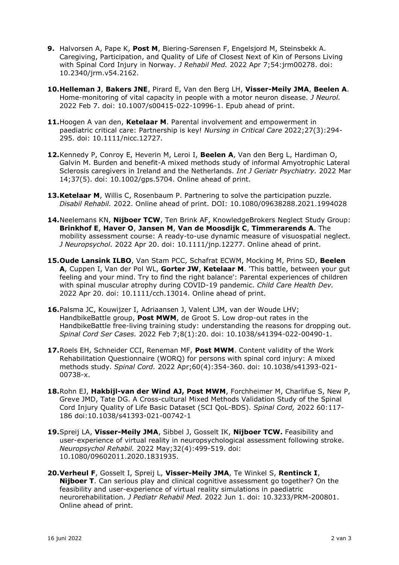- **9.** Halvorsen A, Pape K, **Post M**[, Biering-Sørensen F, Engelsjord M, Steinsbekk A.](https://pubmed.ncbi.nlm.nih.gov/35266007/)  [Caregiving, Participation, and Quality of Life of Closest Next of Kin of Persons Living](https://pubmed.ncbi.nlm.nih.gov/35266007/)  [with Spinal Cord Injury in Norway.](https://pubmed.ncbi.nlm.nih.gov/35266007/) *J Rehabil Med.* 2022 Apr 7;54:jrm00278. doi: [10.2340/jrm.v54.2162.](https://pubmed.ncbi.nlm.nih.gov/35266007/)
- **10.Helleman J**, **Bakers JNE**[, Pirard E, Van den Berg LH,](https://pubmed.ncbi.nlm.nih.gov/35129626/) **Visser-Meily JMA**, **Beelen A**. [Home-monitoring of vital capacity in people with a motor neuron disease.](https://pubmed.ncbi.nlm.nih.gov/35129626/) *J Neurol.*  [2022 Feb 7. doi: 10.1007/s00415-022-10996-1. Epub ahead of print.](https://pubmed.ncbi.nlm.nih.gov/35129626/)
- **11.**Hoogen A van den, **Ketelaar M**[. Parental involvement and empowerment in](https://pubmed.ncbi.nlm.nih.gov/35526086/)  [paediatric critical care: Partnership is key!](https://pubmed.ncbi.nlm.nih.gov/35526086/) *Nursing in Critical Care* 2022;27(3):294- [295. doi: 10.1111/nicc.12727.](https://pubmed.ncbi.nlm.nih.gov/35526086/)
- **12.**[Kennedy P, Conroy E, Heverin M, Leroi I,](https://pubmed.ncbi.nlm.nih.gov/35362219/) **Beelen A**, Van den Berg L, Hardiman O, [Galvin M. Burden and benefit-A mixed methods study of informal Amyotrophic Lateral](https://pubmed.ncbi.nlm.nih.gov/35362219/)  [Sclerosis caregivers in Ireland and the Netherlands.](https://pubmed.ncbi.nlm.nih.gov/35362219/) *Int J Geriatr Psychiatry.* 2022 Mar 14;37(5). doi: 10.1002/gps.5704. Online ahead of print.
- **13.Ketelaar M**[, Willis C, Rosenbaum P. Partnering to solve the participation puzzle.](https://pubmed.ncbi.nlm.nih.gov/34985392/)  *Disabil Rehabil.* [2022. Online ahead of print. DOI: 10.1080/09638288.2021.1994028](https://pubmed.ncbi.nlm.nih.gov/34985392/)
- **14.**Neelemans KN, **Nijboer TCW**[, Ten Brink AF, KnowledgeBrokers Neglect Study Group:](https://pubmed.ncbi.nlm.nih.gov/35445544/)  **Brinkhof E**, **Haver O**, **Jansen M**, **[Van de Moosdijk C](https://pubmed.ncbi.nlm.nih.gov/35445544/)**, **Timmerarends A**. The [mobility assessment course: A ready-to-use dynamic measure of visuospatial neglect.](https://pubmed.ncbi.nlm.nih.gov/35445544/)  *[J Neuropsychol.](https://pubmed.ncbi.nlm.nih.gov/35445544/)* 2022 Apr 20. doi: 10.1111/jnp.12277. Online ahead of print.
- **15.Oude Lansink ILBO**[, Van Stam PCC, Schafrat ECWM, Mocking M, Prins SD,](https://pubmed.ncbi.nlm.nih.gov/35445450/) **Beelen A**, Cuppen I, Van der Pol WL, **Gorter JW**, **Ketelaar M**[. 'This battle, between your gut](https://pubmed.ncbi.nlm.nih.gov/35445450/)  [feeling and your mind. Try to find the right balance': Parental experiences of children](https://pubmed.ncbi.nlm.nih.gov/35445450/)  [with spinal muscular atrophy during COVID-19 pandemic.](https://pubmed.ncbi.nlm.nih.gov/35445450/) *Child Care Health Dev.* 2022 Apr 20. doi: 10.1111/cch.13014. Online ahead of print.
- **16.**[Palsma JC, Kouwijzer I, Adriaansen J, Valent LJM, van der Woude LHV;](https://pubmed.ncbi.nlm.nih.gov/35132066/)  HandbikeBattle group, **Post MWM**[, de Groot S. Low drop-out rates in the](https://pubmed.ncbi.nlm.nih.gov/35132066/)  [HandbikeBattle free-living training study: understanding the reasons for dropping out.](https://pubmed.ncbi.nlm.nih.gov/35132066/)  *Spinal Cord Ser Cases.* [2022 Feb 7;8\(1\):20. doi: 10.1038/s41394-022-00490-1.](https://pubmed.ncbi.nlm.nih.gov/35132066/)
- **17.**[Roels EH, Schneider CCI, Reneman MF,](https://pubmed.ncbi.nlm.nih.gov/35046539/) **Post MWM**. Content validity of the Work [Rehabilitation Questionnaire \(WORQ\) for persons with spinal cord injury: A mixed](https://pubmed.ncbi.nlm.nih.gov/35046539/)  [methods study.](https://pubmed.ncbi.nlm.nih.gov/35046539/) *Spinal Cord.* 2022 Apr;60(4):354-360. doi: 10.1038/s41393-021- 00738-x.
- **18.**Rohn EJ, **[Hakbijl-van der Wind AJ, Post MWM](https://pubmed.ncbi.nlm.nih.gov/35079100/)**, Forchheimer M, Charlifue S, New P, [Greve JMD, Tate DG. A Cross-cultural Mixed Methods Validation Study of the Spinal](https://pubmed.ncbi.nlm.nih.gov/35079100/)  [Cord Injury Quality of Life Basic Dataset \(SCI QoL-BDS\).](https://pubmed.ncbi.nlm.nih.gov/35079100/) *Spinal Cord,* 2022 60:117- [186 doi:10.1038/s41393-021-00742-1](https://pubmed.ncbi.nlm.nih.gov/35079100/)
- **19.**Spreij LA, **Visser-Meily JMA**[, Sibbel J, Gosselt IK,](https://pubmed.ncbi.nlm.nih.gov/33138703/) **Nijboer TCW.** Feasibility and [user-experience of virtual reality in neuropsychological assessment following stroke.](https://pubmed.ncbi.nlm.nih.gov/33138703/)  *Neuropsychol Rehabil.* [2022 May;32\(4\):499-519. doi:](https://pubmed.ncbi.nlm.nih.gov/33138703/)  [10.1080/09602011.2020.1831935.](https://pubmed.ncbi.nlm.nih.gov/33138703/)
- **20.Verheul F**[, Gosselt I, Spreij L,](https://pubmed.ncbi.nlm.nih.gov/35661025/) **Visser-Meily JMA**, Te Winkel S, **Rentinck I**, **Nijboer T**[. Can serious play and clinical cognitive assessment go together? On the](https://pubmed.ncbi.nlm.nih.gov/35661025/)  [feasibility and user-experience of virtual reality simulations in paediatric](https://pubmed.ncbi.nlm.nih.gov/35661025/)  neurorehabilitation. *[J Pediatr Rehabil Med.](https://pubmed.ncbi.nlm.nih.gov/35661025/)* 2022 Jun 1. doi: 10.3233/PRM-200801. Online ahead of print.